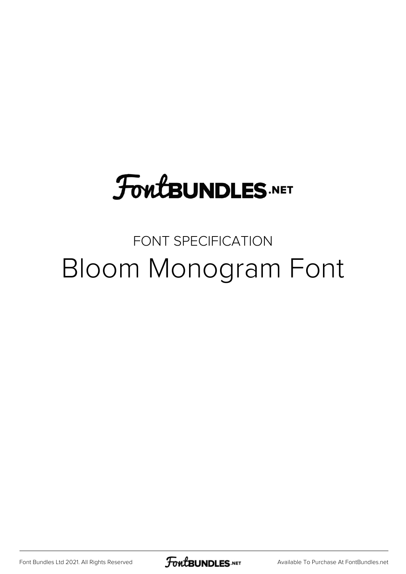# **FoutBUNDLES.NET**

## FONT SPECIFICATION Bloom Monogram Font

[Font Bundles Ltd 2021. All Rights Reserved](https://fontbundles.net/) **FoutBUNDLES.NET** [Available To Purchase At FontBundles.net](https://fontbundles.net/)

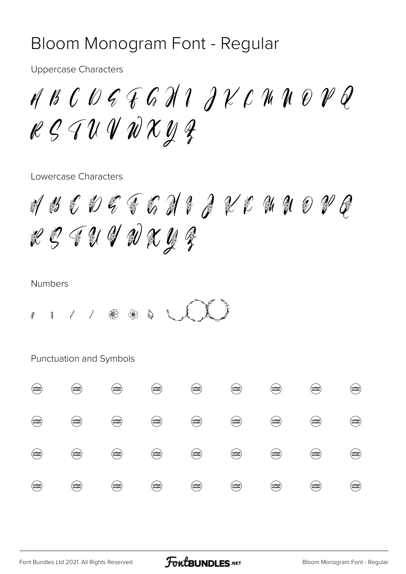## Bloom Monogram Font - Regular

**Uppercase Characters** 

ABCOGFGHIJKCHNOVQ  $\ell \mathcal{G} \mathcal{U} \mathcal{U} \mathcal{U} \mathcal{X} \mathcal{U} \mathcal{Z}$ 

Lowercase Characters

 $\mathscr{A}\mathscr{B}\mathscr{C}\mathscr{D}\mathscr{G}\mathscr{G}\mathscr{G}\mathscr{A}\mathscr{G}\mathscr{G}\mathscr{C}$  $299992292$ 

#### **Numbers**

 $\mathscr{L}$ 

Punctuation and Symbols

|  |  | $\frac{1}{2}$ " # \$ % & ' ( )                                   |  |  |
|--|--|------------------------------------------------------------------|--|--|
|  |  | $+$ , - ; < =                                                    |  |  |
|  |  | $> ? [ \quad \vert \quad ] \quad \wedge \quad \vert \quad \vert$ |  |  |
|  |  | $\}$ j $\phi$ £ $\alpha$ \ i $\circ$                             |  |  |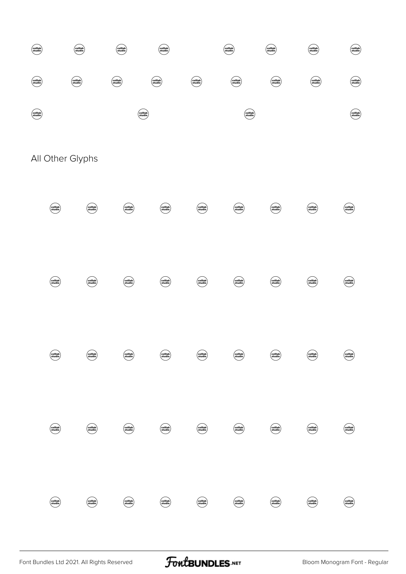

All Other Glyphs

## À Á Â Ã Ä Å Æ Ç È ÉÊËÌÍÎÏ Ñ Đ ÒÓÔÔÖרÙ  $\dot{U}$ Û Ü Ý Þ ß à á  $\hat{a}$ ã å æç è é ê ë ä  $\sqrt{ }$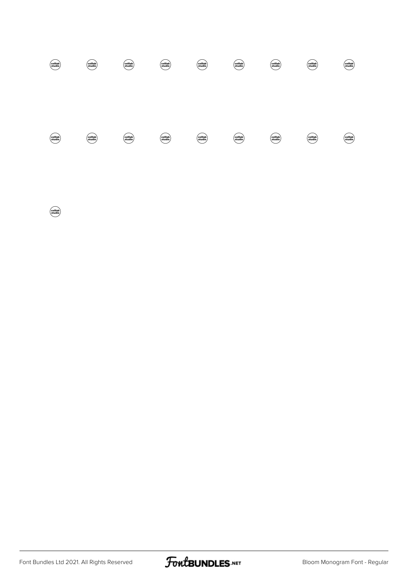# í î ï ð ñ ò ó ô õ ö ÷ ø ù ú û ü ý þ

ÿ